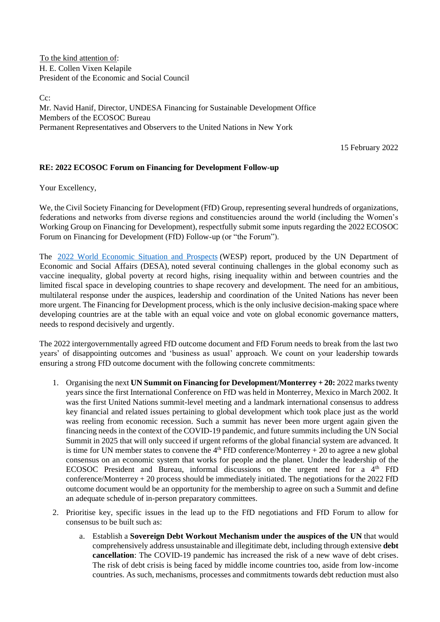To the kind attention of: H. E. Collen Vixen Kelapile President of the Economic and Social Council

 $C_{\mathcal{C}}$ Mr. Navid Hanif, Director, UNDESA Financing for Sustainable Development Office Members of the ECOSOC Bureau Permanent Representatives and Observers to the United Nations in New York

15 February 2022

## **RE: 2022 ECOSOC Forum on Financing for Development Follow-up**

Your Excellency,

We, the Civil Society Financing for Development (FfD) Group, representing several hundreds of organizations, federations and networks from diverse regions and constituencies around the world (including the Women's Working Group on Financing for Development), respectfully submit some inputs regarding the 2022 ECOSOC Forum on Financing for Development (FfD) Follow-up (or "the Forum").

The [2022 World Economic Situation and Prospects](https://www.un.org/development/desa/dpad/wp-content/uploads/sites/45/publication/WESP2022_web.pdf) (WESP) report, produced by the UN Department of Economic and Social Affairs (DESA), noted several continuing challenges in the global economy such as vaccine inequality, global poverty at record highs, rising inequality within and between countries and the limited fiscal space in developing countries to shape recovery and development. The need for an ambitious, multilateral response under the auspices, leadership and coordination of the United Nations has never been more urgent. The Financing for Development process, which is the only inclusive decision-making space where developing countries are at the table with an equal voice and vote on global economic governance matters, needs to respond decisively and urgently.

The 2022 intergovernmentally agreed FfD outcome document and FfD Forum needs to break from the last two years' of disappointing outcomes and 'business as usual' approach. We count on your leadership towards ensuring a strong FfD outcome document with the following concrete commitments:

- 1. Organising the next **UN Summit on Financing for Development/Monterrey + 20:** 2022 marks twenty years since the first International Conference on FfD was held in Monterrey, Mexico in March 2002. It was the first United Nations summit-level meeting and a landmark international consensus to address key financial and related issues pertaining to global development which took place just as the world was reeling from economic recession. Such a summit has never been more urgent again given the financing needs in the context of the COVID-19 pandemic, and future summits including the UN Social Summit in 2025 that will only succeed if urgent reforms of the global financial system are advanced. It is time for UN member states to convene the  $4<sup>th</sup>$  FfD conference/Monterrey + 20 to agree a new global consensus on an economic system that works for people and the planet. Under the leadership of the ECOSOC President and Bureau, informal discussions on the urgent need for a  $4<sup>th</sup>$  FfD conference/Monterrey + 20 process should be immediately initiated. The negotiations for the 2022 FfD outcome document would be an opportunity for the membership to agree on such a Summit and define an adequate schedule of in-person preparatory committees.
- 2. Prioritise key, specific issues in the lead up to the FfD negotiations and FfD Forum to allow for consensus to be built such as:
	- a. Establish a **Sovereign Debt Workout Mechanism under the auspices of the UN** that would comprehensively address unsustainable and illegitimate debt, including through extensive **debt cancellation**: The COVID-19 pandemic has increased the risk of a new wave of debt crises. The risk of debt crisis is being faced by middle income countries too, aside from low-income countries. As such, mechanisms, processes and commitments towards debt reduction must also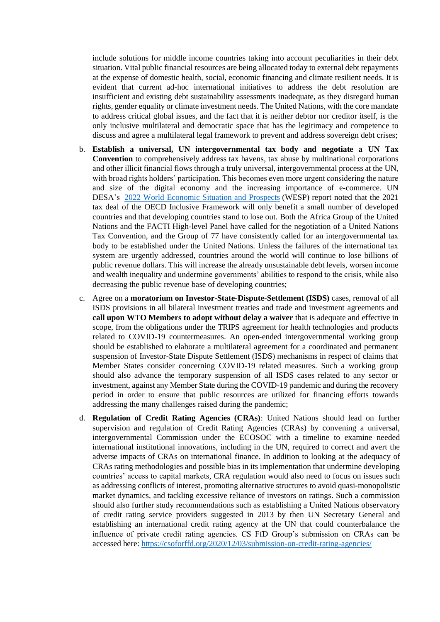include solutions for middle income countries taking into account peculiarities in their debt situation. Vital public financial resources are being allocated today to external debt repayments at the expense of domestic health, social, economic financing and climate resilient needs. It is evident that current ad-hoc international initiatives to address the debt resolution are insufficient and existing debt sustainability assessments inadequate, as they disregard human rights, gender equality or climate investment needs. The United Nations, with the core mandate to address critical global issues, and the fact that it is neither debtor nor creditor itself, is the only inclusive multilateral and democratic space that has the legitimacy and competence to discuss and agree a multilateral legal framework to prevent and address sovereign debt crises;

- b. **Establish a universal, UN intergovernmental tax body and negotiate a UN Tax Convention** to comprehensively address tax havens, tax abuse by multinational corporations and other illicit financial flows through a truly universal, intergovernmental process at the UN, with broad rights holders' participation. This becomes even more urgent considering the nature and size of the digital economy and the increasing importance of e-commerce. UN DESA's [2022 World Economic Situation and Prospects](https://www.un.org/development/desa/dpad/wp-content/uploads/sites/45/publication/WESP2022_web.pdf) (WESP) report noted that the 2021 tax deal of the OECD Inclusive Framework will only benefit a small number of developed countries and that developing countries stand to lose out. Both the Africa Group of the United Nations and the FACTI High-level Panel have called for the negotiation of a United Nations Tax Convention, and the Group of 77 have consistently called for an intergovernmental tax body to be established under the United Nations. Unless the failures of the international tax system are urgently addressed, countries around the world will continue to lose billions of public revenue dollars. This will increase the already unsustainable debt levels, worsen income and wealth inequality and undermine governments' abilities to respond to the crisis, while also decreasing the public revenue base of developing countries;
- c. Agree on a **moratorium on Investor-State-Dispute-Settlement (ISDS)** cases, removal of all ISDS provisions in all bilateral investment treaties and trade and investment agreements and **call upon WTO Members to adopt without delay a waiver** that is adequate and effective in scope, from the obligations under the TRIPS agreement for health technologies and products related to COVID-19 countermeasures. An open-ended intergovernmental working group should be established to elaborate a multilateral agreement for a coordinated and permanent suspension of Investor-State Dispute Settlement (ISDS) mechanisms in respect of claims that Member States consider concerning COVID-19 related measures. Such a working group should also advance the temporary suspension of all ISDS cases related to any sector or investment, against any Member State during the COVID-19 pandemic and during the recovery period in order to ensure that public resources are utilized for financing efforts towards addressing the many challenges raised during the pandemic;
- d. **Regulation of Credit Rating Agencies (CRAs)**: United Nations should lead on further supervision and regulation of Credit Rating Agencies (CRAs) by convening a universal, intergovernmental Commission under the ECOSOC with a timeline to examine needed international institutional innovations, including in the UN, required to correct and avert the adverse impacts of CRAs on international finance. In addition to looking at the adequacy of CRAs rating methodologies and possible bias in its implementation that undermine developing countries' access to capital markets, CRA regulation would also need to focus on issues such as addressing conflicts of interest, promoting alternative structures to avoid quasi-monopolistic market dynamics, and tackling excessive reliance of investors on ratings. Such a commission should also further study recommendations such as establishing a United Nations observatory of credit rating service providers suggested in 2013 by then UN Secretary General and establishing an international credit rating agency at the UN that could counterbalance the influence of private credit rating agencies. CS FfD Group's submission on CRAs can be accessed here:<https://csoforffd.org/2020/12/03/submission-on-credit-rating-agencies/>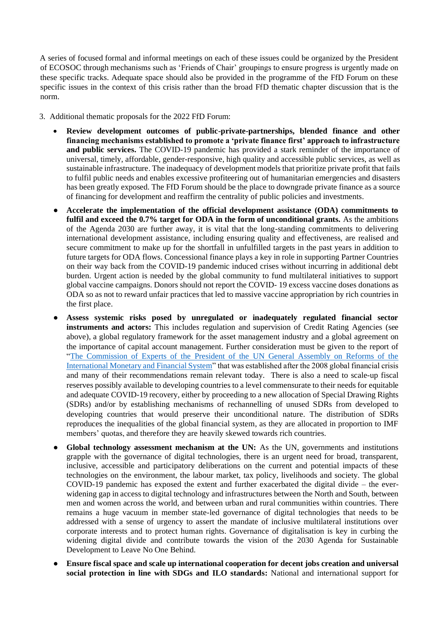A series of focused formal and informal meetings on each of these issues could be organized by the President of ECOSOC through mechanisms such as 'Friends of Chair' groupings to ensure progress is urgently made on these specific tracks. Adequate space should also be provided in the programme of the FfD Forum on these specific issues in the context of this crisis rather than the broad FfD thematic chapter discussion that is the norm.

- 3. Additional thematic proposals for the 2022 FfD Forum:
	- **Review development outcomes of public-private-partnerships, blended finance and other financing mechanisms established to promote a 'private finance first' approach to infrastructure and public services.** The COVID-19 pandemic has provided a stark reminder of the importance of universal, timely, affordable, gender-responsive, high quality and accessible public services, as well as sustainable infrastructure. The inadequacy of development models that prioritize private profit that fails to fulfil public needs and enables excessive profiteering out of humanitarian emergencies and disasters has been greatly exposed. The FfD Forum should be the place to downgrade private finance as a source of financing for development and reaffirm the centrality of public policies and investments.
	- Accelerate the implementation of the official development assistance (ODA) commitments to **fulfil and exceed the 0.7% target for ODA in the form of unconditional grants.** As the ambitions of the Agenda 2030 are further away, it is vital that the long-standing commitments to delivering international development assistance, including ensuring quality and effectiveness, are realised and secure commitment to make up for the shortfall in unfulfilled targets in the past years in addition to future targets for ODA flows. Concessional finance plays a key in role in supporting Partner Countries on their way back from the COVID-19 pandemic induced crises without incurring in additional debt burden. Urgent action is needed by the global community to fund multilateral initiatives to support global vaccine campaigns. Donors should not report the COVID- 19 excess vaccine doses donations as ODA so as not to reward unfair practices that led to massive vaccine appropriation by rich countries in the first place.
	- Assess systemic risks posed by unregulated or inadequately regulated financial sector **instruments and actors:** This includes regulation and supervision of Credit Rating Agencies (see above), a global regulatory framework for the asset management industry and a global agreement on the importance of capital account management. Further consideration must be given to the report of ["The Commission of Experts of the President of the UN General Assembly on Reforms of the](https://www.un.org/en/ga/president/63/pdf/calendar/20090325-economiccrisis-commission.pdf)  [International Monetary and Financial System"](https://www.un.org/en/ga/president/63/pdf/calendar/20090325-economiccrisis-commission.pdf) that was established after the 2008 global financial crisis and many of their recommendations remain relevant today. There is also a need to scale-up fiscal reserves possibly available to developing countries to a level commensurate to their needs for equitable and adequate COVID-19 recovery, either by proceeding to a new allocation of Special Drawing Rights (SDRs) and/or by establishing mechanisms of rechannelling of unused SDRs from developed to developing countries that would preserve their unconditional nature. The distribution of SDRs reproduces the inequalities of the global financial system, as they are allocated in proportion to IMF members' quotas, and therefore they are heavily skewed towards rich countries.
	- **Global technology assessment mechanism at the UN:** As the UN, governments and institutions grapple with the governance of digital technologies, there is an urgent need for broad, transparent, inclusive, accessible and participatory deliberations on the current and potential impacts of these technologies on the environment, the labour market, tax policy, livelihoods and society. The global COVID-19 pandemic has exposed the extent and further exacerbated the digital divide – the everwidening gap in access to digital technology and infrastructures between the North and South, between men and women across the world, and between urban and rural communities within countries. There remains a huge vacuum in member state-led governance of digital technologies that needs to be addressed with a sense of urgency to assert the mandate of inclusive multilateral institutions over corporate interests and to protect human rights. Governance of digitalisation is key in curbing the widening digital divide and contribute towards the vision of the 2030 Agenda for Sustainable Development to Leave No One Behind.
	- **Ensure fiscal space and scale up international cooperation for decent jobs creation and universal social protection in line with SDGs and ILO standards:** National and international support for